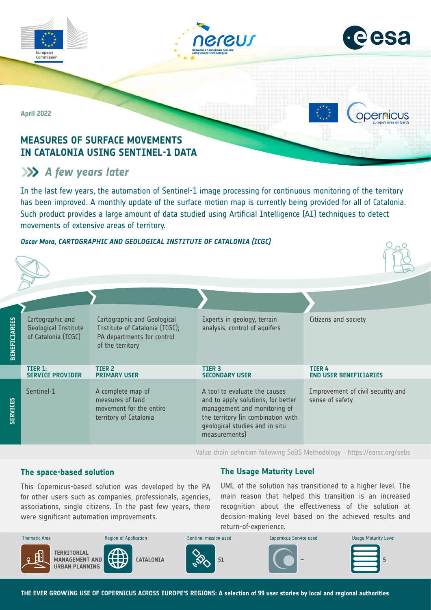



**ODErnicus** 

**April 2022**

Commission

# **MEASURES OF SURFACE MOVEMENTS IN CATALONIA USING SENTINEL-1 DATA**

# **A** few years later

In the last few years, the automation of Sentinel-1 image processing for continuous monitoring of the territory has been improved. A monthly update of the surface motion map is currently being provided for all of Catalonia. Such product provides a large amount of data studied using Artificial Intelligence (AI) techniques to detect movements of extensive areas of territory.

# *Oscar Mora, CARTOGRAPHIC AND GEOLOGICAL INSTITUTE OF CATALONIA (ICGC)*

| <b>BENEFICIARIES</b> | Cartographic and<br><b>Geological Institute</b><br>of Catalonia (ICGC) | Cartographic and Geological<br>Institute of Catalonia (ICGC);<br>PA departments for control<br>of the territory | Experts in geology, terrain<br>analysis, control of aquifers                                                                                                                                 | Citizens and society                                 |
|----------------------|------------------------------------------------------------------------|-----------------------------------------------------------------------------------------------------------------|----------------------------------------------------------------------------------------------------------------------------------------------------------------------------------------------|------------------------------------------------------|
|                      | TIER 1:<br><b>SERVICE PROVIDER</b>                                     | TIER <sub>2</sub><br><b>PRIMARY USER</b>                                                                        | <b>TIER 3</b><br><b>SECONDARY USER</b>                                                                                                                                                       | <b>TIER4</b><br><b>END USER BENEFICIARIES</b>        |
| <b>SERVICES</b>      | Sentinel-1                                                             | A complete map of<br>measures of land<br>movement for the entire<br>territory of Catalonia                      | A tool to evaluate the causes<br>and to apply solutions, for better<br>management and monitoring of<br>the territory (in combination with<br>geological studies and in situ<br>measurements) | Improvement of civil security and<br>sense of safety |

Value chain definition following SeBS Methodology -<https://earsc.org/sebs>

# **The space-based solution**

associations, single citizens. In the past few years, there were significant automation improvements. This Copernicus-based solution was developed by the PA for other users such as companies, professionals, agencies,

# **The Usage Maturity Level**

UML of the solution has transitioned to a higher level. The main reason that helped this transition is an increased recognition about the effectiveness of the solution at decision-making level based on the achieved results and return-of-experience.